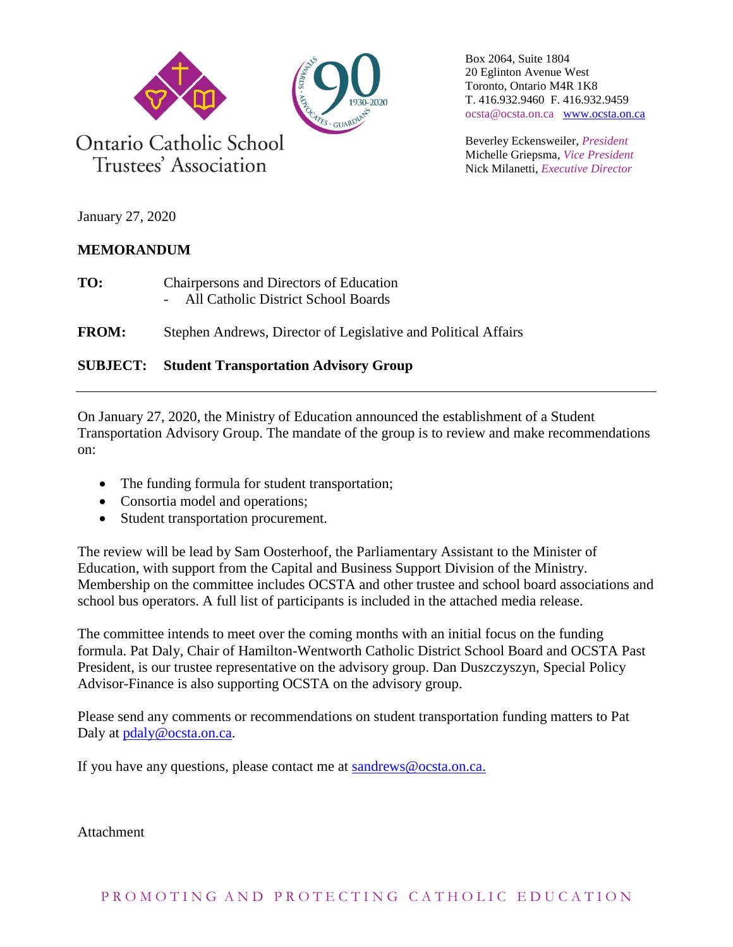

Box 2064, Suite 1804 20 Eglinton Avenue West Toronto, Ontario M4R 1K8 T. 416.932.9460 F. 416.932.9459 ocsta@ocsta.on.ca [www.ocsta.on.ca](http://www.ocsta.on.ca/)

Beverley Eckensweiler, *President* Michelle Griepsma, *Vice President* Nick Milanetti, *Executive Director*

January 27, 2020

## **MEMORANDUM**

**TO:** Chairpersons and Directors of Education - All Catholic District School Boards

**FROM:** Stephen Andrews, Director of Legislative and Political Affairs

## **SUBJECT: Student Transportation Advisory Group**

On January 27, 2020, the Ministry of Education announced the establishment of a Student Transportation Advisory Group. The mandate of the group is to review and make recommendations on:

- The funding formula for student transportation;
- Consortia model and operations;
- Student transportation procurement.

The review will be lead by Sam Oosterhoof, the Parliamentary Assistant to the Minister of Education, with support from the Capital and Business Support Division of the Ministry. Membership on the committee includes OCSTA and other trustee and school board associations and school bus operators. A full list of participants is included in the attached media release.

The committee intends to meet over the coming months with an initial focus on the funding formula. Pat Daly, Chair of Hamilton-Wentworth Catholic District School Board and OCSTA Past President, is our trustee representative on the advisory group. Dan Duszczyszyn, Special Policy Advisor-Finance is also supporting OCSTA on the advisory group.

Please send any comments or recommendations on student transportation funding matters to Pat Daly at [pdaly@ocsta.on.ca.](mailto:pdaly@ocsta.on.ca)

If you have any questions, please contact me at [sandrews@ocsta.on.ca.](mailto:sandrews@ocsta.on.ca)

**Attachment**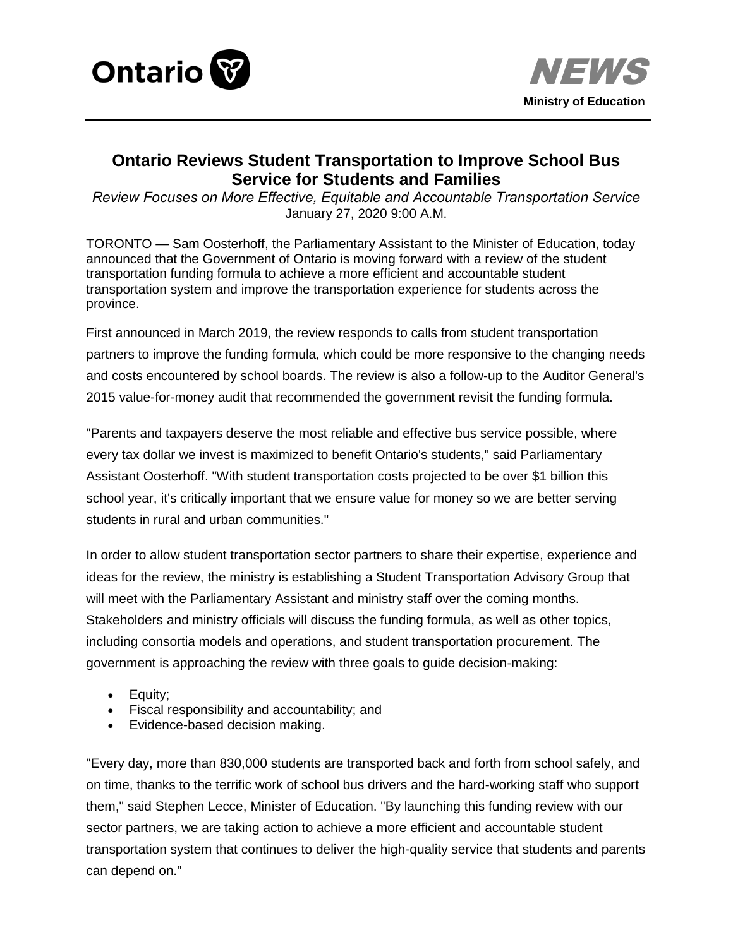



# **Ontario Reviews Student Transportation to Improve School Bus Service for Students and Families**

*Review Focuses on More Effective, Equitable and Accountable Transportation Service* January 27, 2020 9:00 A.M.

TORONTO — Sam Oosterhoff, the Parliamentary Assistant to the Minister of Education, today announced that the Government of Ontario is moving forward with a review of the student transportation funding formula to achieve a more efficient and accountable student transportation system and improve the transportation experience for students across the province.

First announced in March 2019, the review responds to calls from student transportation partners to improve the funding formula, which could be more responsive to the changing needs and costs encountered by school boards. The review is also a follow-up to the Auditor General's 2015 value-for-money audit that recommended the government revisit the funding formula.

"Parents and taxpayers deserve the most reliable and effective bus service possible, where every tax dollar we invest is maximized to benefit Ontario's students," said Parliamentary Assistant Oosterhoff. "With student transportation costs projected to be over \$1 billion this school year, it's critically important that we ensure value for money so we are better serving students in rural and urban communities."

In order to allow student transportation sector partners to share their expertise, experience and ideas for the review, the ministry is establishing a Student Transportation Advisory Group that will meet with the Parliamentary Assistant and ministry staff over the coming months. Stakeholders and ministry officials will discuss the funding formula, as well as other topics, including consortia models and operations, and student transportation procurement. The government is approaching the review with three goals to guide decision-making:

- Equity:
- Fiscal responsibility and accountability; and
- Evidence-based decision making.

"Every day, more than 830,000 students are transported back and forth from school safely, and on time, thanks to the terrific work of school bus drivers and the hard-working staff who support them," said Stephen Lecce, Minister of Education. "By launching this funding review with our sector partners, we are taking action to achieve a more efficient and accountable student transportation system that continues to deliver the high-quality service that students and parents can depend on."